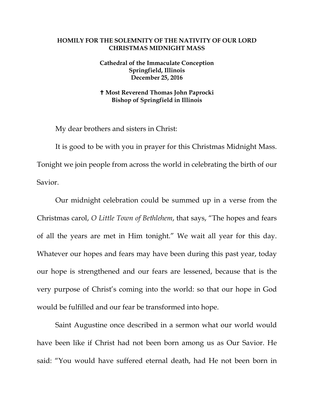## **HOMILY FOR THE SOLEMNITY OF THE NATIVITY OF OUR LORD CHRISTMAS MIDNIGHT MASS**

## **Cathedral of the Immaculate Conception Springfield, Illinois December 25, 2016**

## **Most Reverend Thomas John Paprocki Bishop of Springfield in Illinois**

My dear brothers and sisters in Christ:

It is good to be with you in prayer for this Christmas Midnight Mass. Tonight we join people from across the world in celebrating the birth of our Savior.

Our midnight celebration could be summed up in a verse from the Christmas carol, *O Little Town of Bethlehem*, that says, "The hopes and fears of all the years are met in Him tonight." We wait all year for this day. Whatever our hopes and fears may have been during this past year, today our hope is strengthened and our fears are lessened, because that is the very purpose of Christ's coming into the world: so that our hope in God would be fulfilled and our fear be transformed into hope.

Saint Augustine once described in a sermon what our world would have been like if Christ had not been born among us as Our Savior. He said: "You would have suffered eternal death, had He not been born in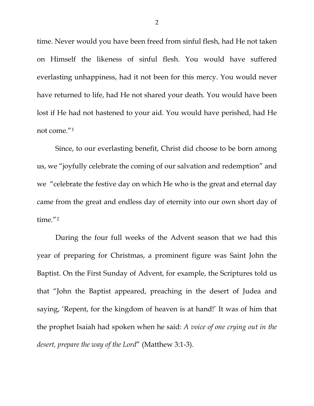time. Never would you have been freed from sinful flesh, had He not taken on Himself the likeness of sinful flesh. You would have suffered everlasting unhappiness, had it not been for this mercy. You would never have returned to life, had He not shared your death. You would have been lost if He had not hastened to your aid. You would have perished, had He not come."[1](#page-2-0)

Since, to our everlasting benefit, Christ did choose to be born among us, we "joyfully celebrate the coming of our salvation and redemption" and we "celebrate the festive day on which He who is the great and eternal day came from the great and endless day of eternity into our own short day of time."[2](#page-2-1)

During the four full weeks of the Advent season that we had this year of preparing for Christmas, a prominent figure was Saint John the Baptist. On the First Sunday of Advent, for example, the Scriptures told us that "John the Baptist appeared, preaching in the desert of Judea and saying, 'Repent, for the kingdom of heaven is at hand!' It was of him that the prophet Isaiah had spoken when he said: *A voice of one crying out in the desert, prepare the way of the Lord*" (Matthew 3:1-3).

2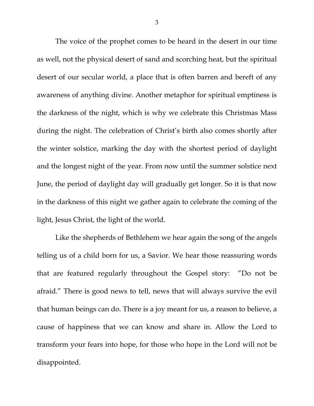The voice of the prophet comes to be heard in the desert in our time as well, not the physical desert of sand and scorching heat, but the spiritual desert of our secular world, a place that is often barren and bereft of any awareness of anything divine. Another metaphor for spiritual emptiness is the darkness of the night, which is why we celebrate this Christmas Mass during the night. The celebration of Christ's birth also comes shortly after the winter solstice, marking the day with the shortest period of daylight and the longest night of the year. From now until the summer solstice next June, the period of daylight day will gradually get longer. So it is that now in the darkness of this night we gather again to celebrate the coming of the light, Jesus Christ, the light of the world.

<span id="page-2-1"></span><span id="page-2-0"></span>Like the shepherds of Bethlehem we hear again the song of the angels telling us of a child born for us, a Savior. We hear those reassuring words that are featured regularly throughout the Gospel story: "Do not be afraid." There is good news to tell, news that will always survive the evil that human beings can do. There is a joy meant for us, a reason to believe, a cause of happiness that we can know and share in. Allow the Lord to transform your fears into hope, for those who hope in the Lord will not be disappointed.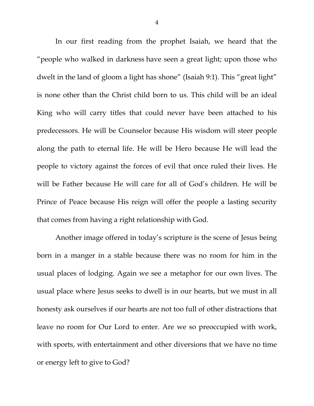In our first reading from the prophet Isaiah, we heard that the "people who walked in darkness have seen a great light; upon those who dwelt in the land of gloom a light has shone" (Isaiah 9:1). This "great light" is none other than the Christ child born to us. This child will be an ideal King who will carry titles that could never have been attached to his predecessors. He will be Counselor because His wisdom will steer people along the path to eternal life. He will be Hero because He will lead the people to victory against the forces of evil that once ruled their lives. He will be Father because He will care for all of God's children. He will be Prince of Peace because His reign will offer the people a lasting security that comes from having a right relationship with God.

Another image offered in today's scripture is the scene of Jesus being born in a manger in a stable because there was no room for him in the usual places of lodging. Again we see a metaphor for our own lives. The usual place where Jesus seeks to dwell is in our hearts, but we must in all honesty ask ourselves if our hearts are not too full of other distractions that leave no room for Our Lord to enter. Are we so preoccupied with work, with sports, with entertainment and other diversions that we have no time or energy left to give to God?